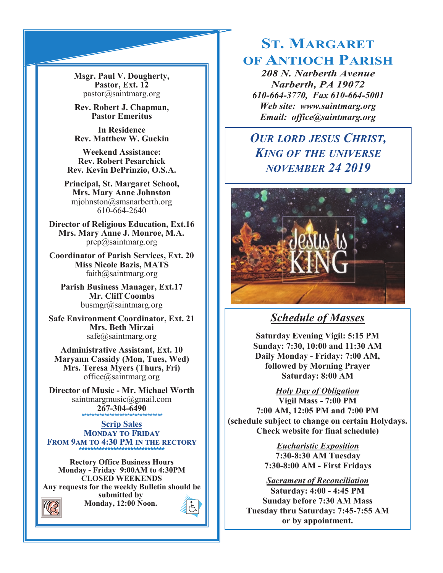**Msgr. Paul V. Dougherty, Pastor, Ext. 12** pastor@saintmarg.org

**Rev. Robert J. Chapman, Pastor Emeritus**

**In Residence Rev. Matthew W. Guckin**

**Weekend Assistance: Rev. Robert Pesarchick Rev. Kevin DePrinzio, O.S.A.**

**Principal, St. Margaret School, Mrs. Mary Anne Johnston**  mjohnston@smsnarberth.org 610-664-2640

**Director of Religious Education, Ext.16 Mrs. Mary Anne J. Monroe, M.A.** prep@saintmarg.org

**Coordinator of Parish Services, Ext. 20 Miss Nicole Bazis, MATS** faith@saintmarg.org

**Parish Business Manager, Ext.17 Mr. Cliff Coombs** busmgr@saintmarg.org

**Safe Environment Coordinator, Ext. 21 Mrs. Beth Mirzai** safe@saintmarg.org

**Administrative Assistant, Ext. 10 Maryann Cassidy (Mon, Tues, Wed) Mrs. Teresa Myers (Thurs, Fri)** office@saintmarg.org

**Director of Music - Mr. Michael Worth** saintmargmusic@gmail.com **267-304-6490** *\*\*\*\*\*\*\*\*\*\*\*\*\*\*\*\*\*\*\*\*\*\*\*\*\*\*\*\*\*\*\*\**

**Scrip Sales MONDAY TO FRIDAY FROM 9AM TO 4:30 PM IN THE RECTORY \*\*\*\*\*\*\*\*\*\*\*\*\*\*\*\*\*\*\*\*\*\*\*\*\*\*\*\*\*\*** 

**Rectory Office Business Hours Monday - Friday 9:00AM to 4:30PM CLOSED WEEKENDS Any requests for the weekly Bulletin should be submitted by Monday, 12:00 Noon.** 



# **ST. MARGARET OF ANTIOCH PARISH**

*208 N. Narberth Avenue Narberth, PA 19072 610-664-3770, Fax 610-664-5001 Web site: www.saintmarg.org Email: office@saintmarg.org*

## *OUR LORD JESUS CHRIST, KING OF THE UNIVERSE NOVEMBER 24 2019*



## *Schedule of Masses*

**Saturday Evening Vigil: 5:15 PM Sunday: 7:30, 10:00 and 11:30 AM Daily Monday - Friday: 7:00 AM, followed by Morning Prayer Saturday: 8:00 AM**

*Holy Day of Obligation*

**Vigil Mass - 7:00 PM 7:00 AM, 12:05 PM and 7:00 PM (schedule subject to change on certain Holydays. Check website for final schedule)**

> *Eucharistic Exposition*  **7:30-8:30 AM Tuesday 7:30-8:00 AM - First Fridays**

## *Sacrament of Reconciliation*

**Saturday: 4:00 - 4:45 PM Sunday before 7:30 AM Mass Tuesday thru Saturday: 7:45-7:55 AM or by appointment.**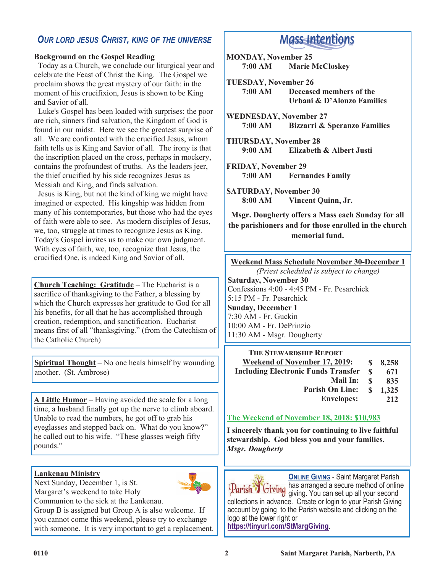## *OUR LORD JESUS CHRIST, KING OF THE UNIVERSE*

#### **Background on the Gospel Reading**

 Today as a Church, we conclude our liturgical year and celebrate the Feast of Christ the King. The Gospel we proclaim shows the great mystery of our faith: in the moment of his crucifixion, Jesus is shown to be King and Savior of all.

 Luke's Gospel has been loaded with surprises: the poor are rich, sinners find salvation, the Kingdom of God is found in our midst. Here we see the greatest surprise of all. We are confronted with the crucified Jesus, whom faith tells us is King and Savior of all. The irony is that the inscription placed on the cross, perhaps in mockery, contains the profoundest of truths. As the leaders jeer, the thief crucified by his side recognizes Jesus as Messiah and King, and finds salvation.

 Jesus is King, but not the kind of king we might have imagined or expected. His kingship was hidden from many of his contemporaries, but those who had the eyes of faith were able to see. As modern disciples of Jesus, we, too, struggle at times to recognize Jesus as King. Today's Gospel invites us to make our own judgment. With eyes of faith, we, too, recognize that Jesus, the crucified One, is indeed King and Savior of all.

**Church Teaching: Gratitude** – The Eucharist is a sacrifice of thanksgiving to the Father, a blessing by which the Church expresses her gratitude to God for all his benefits, for all that he has accomplished through creation, redemption, and sanctification. Eucharist means first of all "thanksgiving." (from the Catechism of the Catholic Church)

**Spiritual Thought** – No one heals himself by wounding another. (St. Ambrose)

**A Little Humor** – Having avoided the scale for a long time, a husband finally got up the nerve to climb aboard. Unable to read the numbers, he got off to grab his eyeglasses and stepped back on. What do you know?" he called out to his wife. "These glasses weigh fifty pounds."

#### **Lankenau Ministry**

Next Sunday, December 1, is St. Margaret's weekend to take Holy

Communion to the sick at the Lankenau.

Group B is assigned but Group A is also welcome. If you cannot come this weekend, please try to exchange with someone. It is very important to get a replacement.

## **Mass-Intentions**

**MONDAY, November 25 7:00 AM Marie McCloskey**

**TUESDAY, November 26 7:00 AM Deceased members of the Urbani & D'Alonzo Families**

**WEDNESDAY, November 27 7:00 AM Bizzarri & Speranzo Families**

**THURSDAY, November 28 9:00 AM Elizabeth & Albert Justi**

**FRIDAY, November 29 Fernandes Family** 

**SATURDAY, November 30 8:00 AM Vincent Quinn, Jr.**

**Msgr. Dougherty offers a Mass each Sunday for all the parishioners and for those enrolled in the church memorial fund.**

**Weekend Mass Schedule November 30-December 1**

*(Priest scheduled is subject to change)* **Saturday, November 30** Confessions 4:00 - 4:45 PM - Fr. Pesarchick 5:15 PM - Fr. Pesarchick **Sunday, December 1** 7:30 AM - Fr. Guckin 10:00 AM - Fr. DePrinzio 11:30 AM - Msgr. Dougherty

**THE STEWARDSHIP REPORT Weekend of November 17, 2019: Including Electronic Funds Transfer Mail In: Parish On Line: Envelopes: \$ 8,258 \$ 671 \$ 835 \$ 1,325 212**

#### **The Weekend of November 18, 2018: \$10,983**

**I sincerely thank you for continuing to live faithful stewardship. God bless you and your families.** *Msgr. Dougherty*

**ONLINE GIVING** - Saint Margaret Parish<br>has arranged a secure method of online has arranged a secure method of online giving. You can set up all your second collections in advance. Create or login to your Parish Giving account by going to the Parish website and clicking on the logo at the lower right or **<https://tinyurl.com/StMargGiving>**.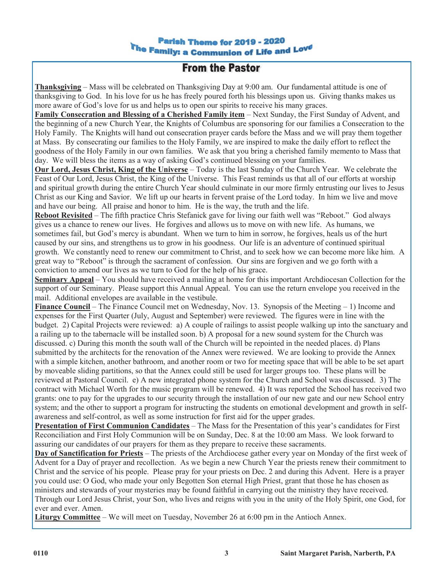## **Parish Theme for 2019 - 2020** The Family: a Communion of Life and Love

## **From the Pastor**

**Thanksgiving** – Mass will be celebrated on Thanksgiving Day at 9:00 am. Our fundamental attitude is one of thanksgiving to God. In his love for us he has freely poured forth his blessings upon us. Giving thanks makes us more aware of God's love for us and helps us to open our spirits to receive his many graces.

**Family Consecration and Blessing of a Cherished Family item** – Next Sunday, the First Sunday of Advent, and the beginning of a new Church Year, the Knights of Columbus are sponsoring for our families a Consecration to the Holy Family. The Knights will hand out consecration prayer cards before the Mass and we will pray them together at Mass. By consecrating our families to the Holy Family, we are inspired to make the daily effort to reflect the goodness of the Holy Family in our own families. We ask that you bring a cherished family memento to Mass that day. We will bless the items as a way of asking God's continued blessing on your families.

**Our Lord, Jesus Christ, King of the Universe** – Today is the last Sunday of the Church Year. We celebrate the Feast of Our Lord, Jesus Christ, the King of the Universe. This Feast reminds us that all of our efforts at worship and spiritual growth during the entire Church Year should culminate in our more firmly entrusting our lives to Jesus Christ as our King and Savior. We lift up our hearts in fervent praise of the Lord today. In him we live and move and have our being. All praise and honor to him. He is the way, the truth and the life.

**Reboot Revisited** – The fifth practice Chris Stefanick gave for living our faith well was "Reboot." God always gives us a chance to renew our lives. He forgives and allows us to move on with new life. As humans, we sometimes fail, but God's mercy is abundant. When we turn to him in sorrow, he forgives, heals us of the hurt caused by our sins, and strengthens us to grow in his goodness. Our life is an adventure of continued spiritual growth. We constantly need to renew our commitment to Christ, and to seek how we can become more like him. A great way to "Reboot" is through the sacrament of confession. Our sins are forgiven and we go forth with a conviction to amend our lives as we turn to God for the help of his grace.

**Seminary Appeal** – You should have received a mailing at home for this important Archdiocesan Collection for the support of our Seminary. Please support this Annual Appeal. You can use the return envelope you received in the mail. Additional envelopes are available in the vestibule.

**Finance Council** – The Finance Council met on Wednesday, Nov. 13. Synopsis of the Meeting – 1) Income and expenses for the First Quarter (July, August and September) were reviewed. The figures were in line with the budget. 2) Capital Projects were reviewed: a) A couple of railings to assist people walking up into the sanctuary and a railing up to the tabernacle will be installed soon. b) A proposal for a new sound system for the Church was discussed. c) During this month the south wall of the Church will be repointed in the needed places. d) Plans submitted by the architects for the renovation of the Annex were reviewed. We are looking to provide the Annex with a simple kitchen, another bathroom, and another room or two for meeting space that will be able to be set apart by moveable sliding partitions, so that the Annex could still be used for larger groups too. These plans will be reviewed at Pastoral Council. e) A new integrated phone system for the Church and School was discussed. 3) The contract with Michael Worth for the music program will be renewed. 4) It was reported the School has received two grants: one to pay for the upgrades to our security through the installation of our new gate and our new School entry system; and the other to support a program for instructing the students on emotional development and growth in selfawareness and self-control, as well as some instruction for first aid for the upper grades.

**Presentation of First Communion Candidates** – The Mass for the Presentation of this year's candidates for First Reconciliation and First Holy Communion will be on Sunday, Dec. 8 at the 10:00 am Mass. We look forward to assuring our candidates of our prayers for them as they prepare to receive these sacraments.

**Day of Sanctification for Priests** – The priests of the Archdiocese gather every year on Monday of the first week of Advent for a Day of prayer and recollection. As we begin a new Church Year the priests renew their commitment to Christ and the service of his people. Please pray for your priests on Dec. 2 and during this Advent. Here is a prayer you could use: O God, who made your only Begotten Son eternal High Priest, grant that those he has chosen as ministers and stewards of your mysteries may be found faithful in carrying out the ministry they have received. Through our Lord Jesus Christ, your Son, who lives and reigns with you in the unity of the Holy Spirit, one God, for ever and ever. Amen.

**Liturgy Committee** – We will meet on Tuesday, November 26 at 6:00 pm in the Antioch Annex.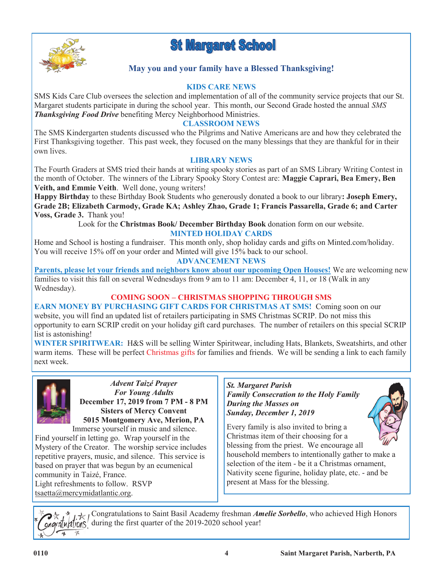



## **May you and your family have a Blessed Thanksgiving!**

### **KIDS CARE NEWS**

SMS Kids Care Club oversees the selection and implementation of all of the community service projects that our St. Margaret students participate in during the school year. This month, our Second Grade hosted the annual *SMS Thanksgiving Food Drive* benefiting Mercy Neighborhood Ministries.

## **CLASSROOM NEWS**

The SMS Kindergarten students discussed who the Pilgrims and Native Americans are and how they celebrated the First Thanksgiving together. This past week, they focused on the many blessings that they are thankful for in their own lives.

#### **LIBRARY NEWS**

The Fourth Graders at SMS tried their hands at writing spooky stories as part of an SMS Library Writing Contest in the month of October. The winners of the Library Spooky Story Contest are: **Maggie Caprari, Bea Emery, Ben Veith, and Emmie Veith**. Well done, young writers!

**Happy Birthday** to these Birthday Book Students who generously donated a book to our library**: Joseph Emery, Grade 2B; Elizabeth Carmody, Grade KA; Ashley Zhao, Grade 1; Francis Passarella, Grade 6; and Carter Voss, Grade 3.** Thank you!

Look for the **Christmas Book/ December Birthday Book** donation form on our website.

### **MINTED HOLIDAY CARDS**

Home and School is hosting a fundraiser. This month only, shop holiday cards and gifts on Minted.com/holiday. You will receive 15% off on your order and Minted will give 15% back to our school.

#### **ADVANCEMENT NEWS**

**Parents, please let your friends and neighbors know about our upcoming Open Houses!** We are welcoming new families to visit this fall on several Wednesdays from 9 am to 11 am: December 4, 11, or 18 (Walk in any Wednesday).

### **COMING SOON – CHRISTMAS SHOPPING THROUGH SMS**

**EARN MONEY BY PURCHASING GIFT CARDS FOR CHRISTMAS AT SMS!** Coming soon on our website, you will find an updated list of retailers participating in SMS Christmas SCRIP. Do not miss this opportunity to earn SCRIP credit on your holiday gift card purchases. The number of retailers on this special SCRIP list is astonishing!

**WINTER SPIRITWEAR:** H&S will be selling Winter Spiritwear, including Hats, Blankets, Sweatshirts, and other warm items. These will be perfect Christmas gifts for families and friends. We will be sending a link to each family next week.



*Advent Taizé Prayer For Young Adults* **December 17, 2019 from 7 PM - 8 PM Sisters of Mercy Convent 5015 Montgomery Ave, Merion, PA** Immerse yourself in music and silence.

Find yourself in letting go. Wrap yourself in the Mystery of the Creator. The worship service includes repetitive prayers, music, and silence. This service is based on prayer that was begun by an ecumenical community in Taizé, France. Light refreshments to follow. RSVP tsaetta@mercymidatlantic.org.

*St. Margaret Parish Family Consecration to the Holy Family During the Masses on Sunday, December 1, 2019*



Every family is also invited to bring a Christmas item of their choosing for a blessing from the priest. We encourage all

household members to intentionally gather to make a selection of the item - be it a Christmas ornament, Nativity scene figurine, holiday plate, etc. - and be present at Mass for the blessing.

Congratulations to Saint Basil Academy freshman *Amelie Sorbello*, who achieved High Honors  $\alpha$ ng $\alpha$ [ $\mu$ | $\alpha$ [ $\alpha$ ] $\beta$ <sup>|</sup> during the first quarter of the 2019-2020 school year!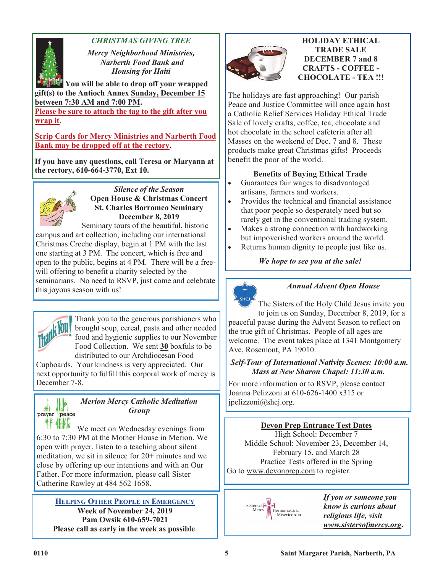

## *CHRISTMAS GIVING TREE*

*Mercy Neighborhood Ministries, Narberth Food Bank and Housing for Haiti*

**You will be able to drop off your wrapped gift(s) to the Antioch Annex Sunday, December 15 between 7:30 AM and 7:00 PM.** 

**Please be sure to attach the tag to the gift after you wrap it.**

**Scrip Cards for Mercy Ministries and Narberth Food Bank may be dropped off at the rectory.** 

**If you have any questions, call Teresa or Maryann at the rectory, 610-664-3770, Ext 10.**



*Silence of the Season* **Open House & Christmas Concert St. Charles Borromeo Seminary December 8, 2019**

Seminary tours of the beautiful, historic

campus and art collection, including our international Christmas Creche display, begin at 1 PM with the last one starting at 3 PM. The concert, which is free and open to the public, begins at 4 PM. There will be a freewill offering to benefit a charity selected by the seminarians. No need to RSVP, just come and celebrate this joyous season with us!



쎼

Thank you to the generous parishioners who brought soup, cereal, pasta and other needed food and hygienic supplies to our November Food Collection. We sent **30** boxfuls to be distributed to our Archdiocesan Food

Cupboards. Your kindness is very appreciated. Our next opportunity to fulfill this corporal work of mercy is December 7-8.

#### *Merion Mercy Catholic Meditation*  此 *Group* prayer = peace

\*F 11KE We meet on Wednesday evenings from 6:30 to 7:30 PM at the Mother House in Merion. We open with prayer, listen to a teaching about silent meditation, we sit in silence for 20+ minutes and we close by offering up our intentions and with an Our Father. For more information, please call Sister Catherine Rawley at 484 562 1658.

**HELPING OTHER PEOPLE IN EMERGENCY Week of November 24, 2019 Pam Owsik 610-659-7021 Please call as early in the week as possible**.



#### **HOLIDAY ETHICAL TRADE SALE DECEMBER 7 and 8 CRAFTS - COFFEE - CHOCOLATE - TEA !!!**

The holidays are fast approaching! Our parish Peace and Justice Committee will once again host a Catholic Relief Services Holiday Ethical Trade Sale of lovely crafts, coffee, tea, chocolate and hot chocolate in the school cafeteria after all Masses on the weekend of Dec. 7 and 8. These products make great Christmas gifts! Proceeds benefit the poor of the world.

## **Benefits of Buying Ethical Trade**

- Guarantees fair wages to disadvantaged artisans, farmers and workers.
- Provides the technical and financial assistance that poor people so desperately need but so rarely get in the conventional trading system.
- Makes a strong connection with hardworking but impoverished workers around the world.
- Returns human dignity to people just like us.

*We hope to see you at the sale!*



## *Annual Advent Open House*

The Sisters of the Holy Child Jesus invite you to join us on Sunday, December 8, 2019, for a peaceful pause during the Advent Season to reflect on the true gift of Christmas. People of all ages are welcome. The event takes place at 1341 Montgomery Ave, Rosemont, PA 19010.

## *Self-Tour of International Nativity Scenes: 10:00 a.m. Mass at New Sharon Chapel: 11:30 a.m.*

For more information or to RSVP, please contact Joanna Pelizzoni at 610-626-1400 x315 or jpelizzoni@shcj.org.

## **Devon Prep Entrance Test Dates**

High School: December 7 Middle School: November 23, December 14, February 15, and March 28 Practice Tests offered in the Spring Go to www.devonprep.com to register.



*If you or someone you know is curious about religious life, visit www.sistersofmercy.org***.**